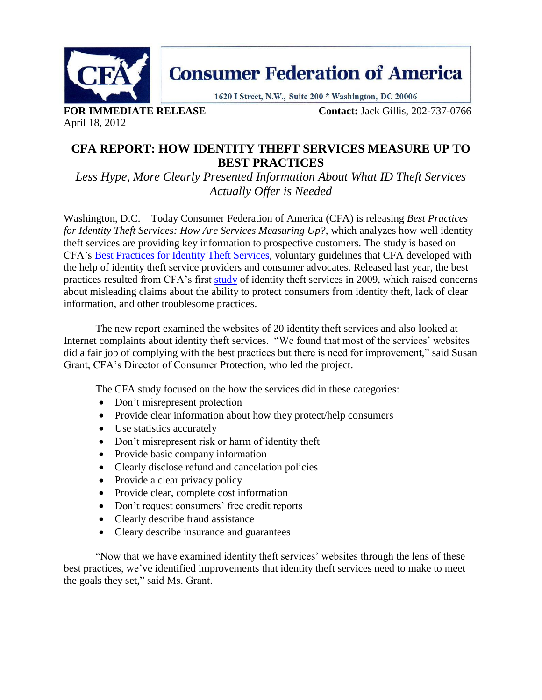

**Consumer Federation of America** 

1620 I Street, N.W., Suite 200 \* Washington, DC 20006

April 18, 2012

**FOR IMMEDIATE RELEASE Contact:** Jack Gillis, 202-737-0766

## **CFA REPORT: HOW IDENTITY THEFT SERVICES MEASURE UP TO BEST PRACTICES**

*Less Hype, More Clearly Presented Information About What ID Theft Services Actually Offer is Needed*

Washington, D.C. – Today Consumer Federation of America (CFA) is releasing *Best Practices for Identity Theft Services: How Are Services Measuring Up?*, which analyzes how well identity theft services are providing key information to prospective customers. The study is based on CFA's [Best Practices for Identity Theft Services,](http://www.consumerfed.org/pdfs/CFA-Best-Practices-Id-Theft-Services.pdf) voluntary guidelines that CFA developed with the help of identity theft service providers and consumer advocates. Released last year, the best practices resulted from CFA's first [study](http://www.consumerfed.org/elements/www.consumerfed.org/file/To%20Catch%20a%20Thief,%20March%2009.pdf) of identity theft services in 2009, which raised concerns about misleading claims about the ability to protect consumers from identity theft, lack of clear information, and other troublesome practices.

The new report examined the websites of 20 identity theft services and also looked at Internet complaints about identity theft services. "We found that most of the services' websites did a fair job of complying with the best practices but there is need for improvement," said Susan Grant, CFA's Director of Consumer Protection, who led the project.

The CFA study focused on the how the services did in these categories:

- Don't misrepresent protection
- Provide clear information about how they protect/help consumers
- Use statistics accurately
- Don't misrepresent risk or harm of identity theft
- Provide basic company information
- Clearly disclose refund and cancelation policies
- Provide a clear privacy policy
- Provide clear, complete cost information
- Don't request consumers' free credit reports
- Clearly describe fraud assistance
- Cleary describe insurance and guarantees

"Now that we have examined identity theft services' websites through the lens of these best practices, we've identified improvements that identity theft services need to make to meet the goals they set," said Ms. Grant.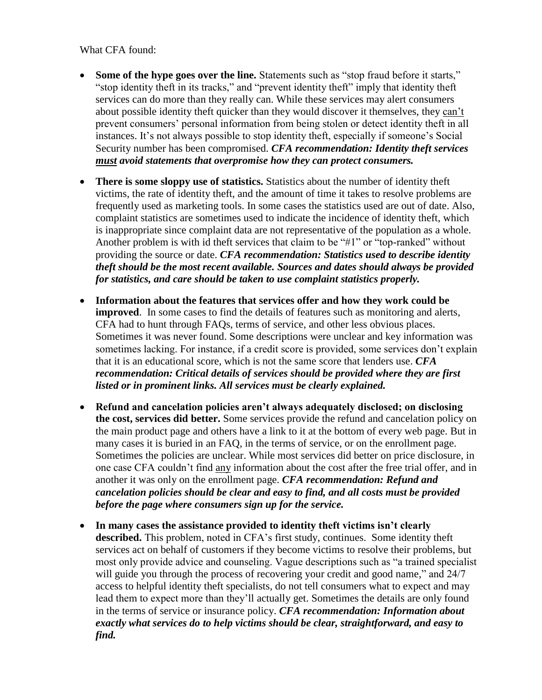What CFA found:

- **Some of the hype goes over the line.** Statements such as "stop fraud before it starts," "stop identity theft in its tracks," and "prevent identity theft" imply that identity theft services can do more than they really can. While these services may alert consumers about possible identity theft quicker than they would discover it themselves, they can't prevent consumers' personal information from being stolen or detect identity theft in all instances. It's not always possible to stop identity theft, especially if someone's Social Security number has been compromised. *CFA recommendation: Identity theft services must avoid statements that overpromise how they can protect consumers.*
- **There is some sloppy use of statistics.** Statistics about the number of identity theft victims, the rate of identity theft, and the amount of time it takes to resolve problems are frequently used as marketing tools. In some cases the statistics used are out of date. Also, complaint statistics are sometimes used to indicate the incidence of identity theft, which is inappropriate since complaint data are not representative of the population as a whole. Another problem is with id theft services that claim to be "#1" or "top-ranked" without providing the source or date. *CFA recommendation: Statistics used to describe identity theft should be the most recent available. Sources and dates should always be provided for statistics, and care should be taken to use complaint statistics properly.*
- **Information about the features that services offer and how they work could be improved**. In some cases to find the details of features such as monitoring and alerts, CFA had to hunt through FAQs, terms of service, and other less obvious places. Sometimes it was never found. Some descriptions were unclear and key information was sometimes lacking. For instance, if a credit score is provided, some services don't explain that it is an educational score, which is not the same score that lenders use. *CFA recommendation: Critical details of services should be provided where they are first listed or in prominent links. All services must be clearly explained.*
- **Refund and cancelation policies aren't always adequately disclosed; on disclosing the cost, services did better.** Some services provide the refund and cancelation policy on the main product page and others have a link to it at the bottom of every web page. But in many cases it is buried in an FAQ, in the terms of service, or on the enrollment page. Sometimes the policies are unclear. While most services did better on price disclosure, in one case CFA couldn't find any information about the cost after the free trial offer, and in another it was only on the enrollment page. *CFA recommendation: Refund and cancelation policies should be clear and easy to find, and all costs must be provided before the page where consumers sign up for the service.*
- **In many cases the assistance provided to identity theft victims isn't clearly described.** This problem, noted in CFA's first study, continues. Some identity theft services act on behalf of customers if they become victims to resolve their problems, but most only provide advice and counseling. Vague descriptions such as "a trained specialist will guide you through the process of recovering your credit and good name," and 24/7 access to helpful identity theft specialists, do not tell consumers what to expect and may lead them to expect more than they'll actually get. Sometimes the details are only found in the terms of service or insurance policy. *CFA recommendation: Information about exactly what services do to help victims should be clear, straightforward, and easy to find.*